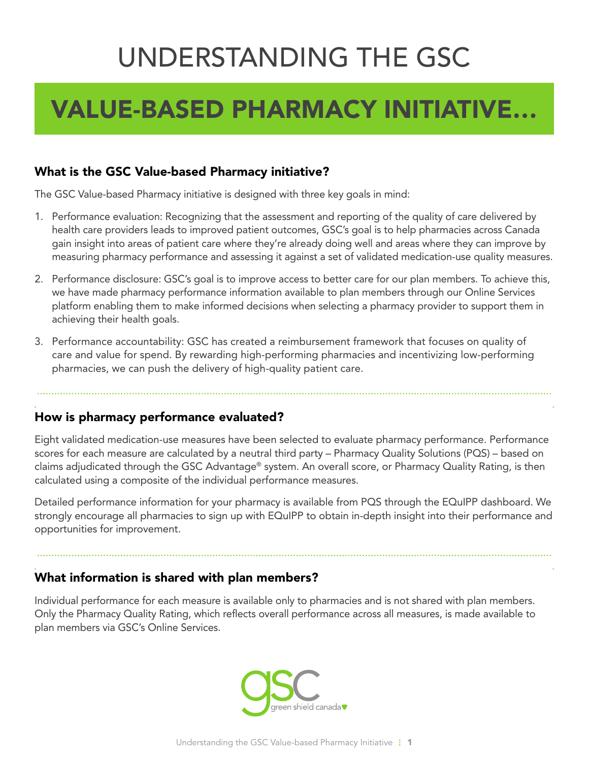# UNDERSTANDING THE GSC

## VALUE-BASED PHARMACY INITIATIVE…

#### What is the GSC Value-based Pharmacy initiative?

The GSC Value-based Pharmacy initiative is designed with three key goals in mind:

- 1. Performance evaluation: Recognizing that the assessment and reporting of the quality of care delivered by health care providers leads to improved patient outcomes, GSC's goal is to help pharmacies across Canada gain insight into areas of patient care where they're already doing well and areas where they can improve by measuring pharmacy performance and assessing it against a set of validated medication-use quality measures.
- 2. Performance disclosure: GSC's goal is to improve access to better care for our plan members. To achieve this, we have made pharmacy performance information available to plan members through our Online Services platform enabling them to make informed decisions when selecting a pharmacy provider to support them in achieving their health goals.
- 3. Performance accountability: GSC has created a reimbursement framework that focuses on quality of care and value for spend. By rewarding high-performing pharmacies and incentivizing low-performing pharmacies, we can push the delivery of high-quality patient care.

#### How is pharmacy performance evaluated?

Eight validated medication-use measures have been selected to evaluate pharmacy performance. Performance scores for each measure are calculated by a neutral third party – Pharmacy Quality Solutions (PQS) – based on claims adjudicated through the GSC Advantage® system. An overall score, or Pharmacy Quality Rating, is then calculated using a composite of the individual performance measures.

Detailed performance information for your pharmacy is available from PQS through the EQuIPP dashboard. We strongly encourage all pharmacies to sign up with EQuIPP to obtain in-depth insight into their performance and opportunities for improvement.

#### What information is shared with plan members?

Individual performance for each measure is available only to pharmacies and is not shared with plan members. Only the Pharmacy Quality Rating, which refects overall performance across all measures, is made available to plan members via GSC's Online Services.

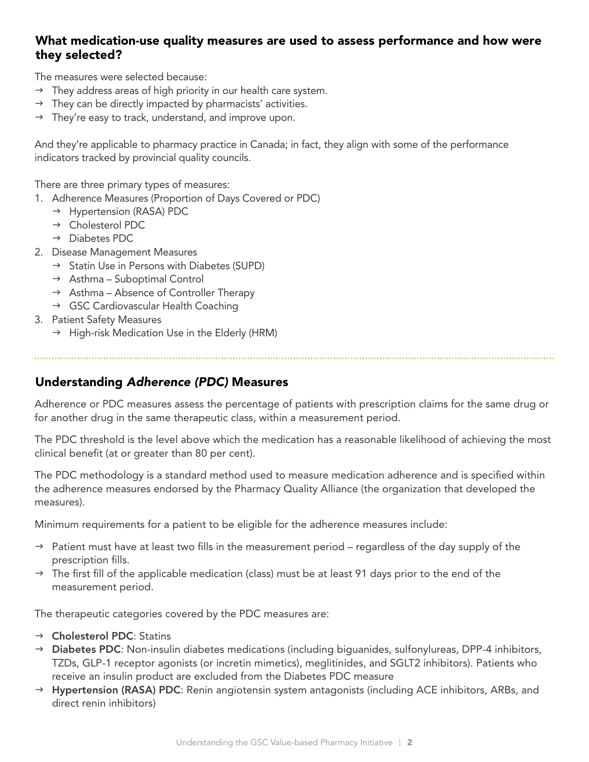#### What medication-use quality measures are used to assess performance and how were they selected?

The measures were selected because:

- $\rightarrow$  They address areas of high priority in our health care system.
- $\rightarrow$  They can be directly impacted by pharmacists' activities.
- $\rightarrow$  They're easy to track, understand, and improve upon.

And they're applicable to pharmacy practice in Canada; in fact, they align with some of the performance indicators tracked by provincial quality councils.

There are three primary types of measures:

- 1. Adherence Measures (Proportion of Days Covered or PDC)
	- $\rightarrow$  Hypertension (RASA) PDC
	- $\rightarrow$  Cholesterol PDC
	- $\rightarrow$  Diabetes PDC
- 2. Disease Management Measures
	- $\rightarrow$  Statin Use in Persons with Diabetes (SUPD)
	- $\rightarrow$  Asthma Suboptimal Control
	- $\rightarrow$  Asthma Absence of Controller Therapy
	- $\rightarrow$  GSC Cardiovascular Health Coaching
- 3. Patient Safety Measures
	- $\rightarrow$  High-risk Medication Use in the Elderly (HRM)

#### Understanding *Adherence (PDC)* Measures

Adherence or PDC measures assess the percentage of patients with prescription claims for the same drug or for another drug in the same therapeutic class, within a measurement period.

The PDC threshold is the level above which the medication has a reasonable likelihood of achieving the most clinical benefit (at or greater than 80 per cent).

The PDC methodology is a standard method used to measure medication adherence and is specifed within the adherence measures endorsed by the Pharmacy Quality Alliance (the organization that developed the measures).

Minimum requirements for a patient to be eligible for the adherence measures include:

- $\rightarrow$  Patient must have at least two fills in the measurement period regardless of the day supply of the prescription fills.
- $\rightarrow$  The first fill of the applicable medication (class) must be at least 91 days prior to the end of the measurement period.

The therapeutic categories covered by the PDC measures are:

- $\rightarrow$  Cholesterol PDC: Statins
- $\rightarrow$  Diabetes PDC: Non-insulin diabetes medications (including biguanides, sulfonylureas, DPP-4 inhibitors, TZDs, GLP-1 receptor agonists (or incretin mimetics), meglitinides, and SGLT2 inhibitors). Patients who receive an insulin product are excluded from the Diabetes PDC measure
- $\rightarrow$  Hypertension (RASA) PDC: Renin angiotensin system antagonists (including ACE inhibitors, ARBs, and direct renin inhibitors)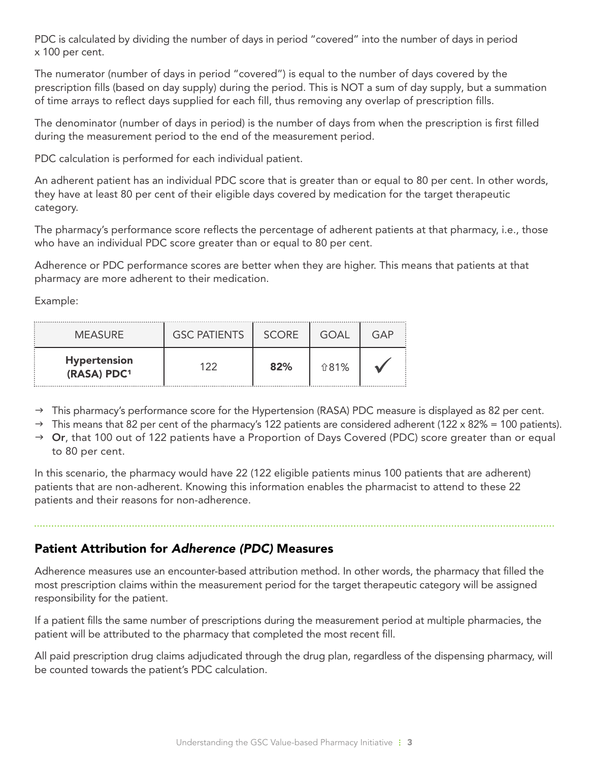PDC is calculated by dividing the number of days in period "covered" into the number of days in period x 100 per cent.

The numerator (number of days in period "covered") is equal to the number of days covered by the prescription fills (based on day supply) during the period. This is NOT a sum of day supply, but a summation of time arrays to reflect days supplied for each fill, thus removing any overlap of prescription fills.

The denominator (number of days in period) is the number of days from when the prescription is first filled during the measurement period to the end of the measurement period.

PDC calculation is performed for each individual patient.

An adherent patient has an individual PDC score that is greater than or equal to 80 per cent. In other words, they have at least 80 per cent of their eligible days covered by medication for the target therapeutic category.

The pharmacy's performance score reflects the percentage of adherent patients at that pharmacy, i.e., those who have an individual PDC score greater than or equal to 80 per cent.

Adherence or PDC performance scores are better when they are higher. This means that patients at that pharmacy are more adherent to their medication.

Example:

| <b>MEASURE</b>                     | <b>GSC PATIENTS</b> | <b>SCORE</b> | GOAI | GAP |
|------------------------------------|---------------------|--------------|------|-----|
| <b>Hypertension</b><br>(RASA) PDC1 | 1つつ                 | 82%          | 介81% |     |

- $\rightarrow$  This pharmacy's performance score for the Hypertension (RASA) PDC measure is displayed as 82 per cent.
- $\rightarrow$  This means that 82 per cent of the pharmacy's 122 patients are considered adherent (122 x 82% = 100 patients).
- $\rightarrow$  Or, that 100 out of 122 patients have a Proportion of Days Covered (PDC) score greater than or equal to 80 per cent.

In this scenario, the pharmacy would have 22 (122 eligible patients minus 100 patients that are adherent) patients that are non-adherent. Knowing this information enables the pharmacist to attend to these 22 patients and their reasons for non-adherence.

#### Patient Attribution for *Adherence (PDC)* Measures

Adherence measures use an encounter-based attribution method. In other words, the pharmacy that flled the most prescription claims within the measurement period for the target therapeutic category will be assigned responsibility for the patient.

If a patient flls the same number of prescriptions during the measurement period at multiple pharmacies, the patient will be attributed to the pharmacy that completed the most recent fll.

All paid prescription drug claims adjudicated through the drug plan, regardless of the dispensing pharmacy, will be counted towards the patient's PDC calculation.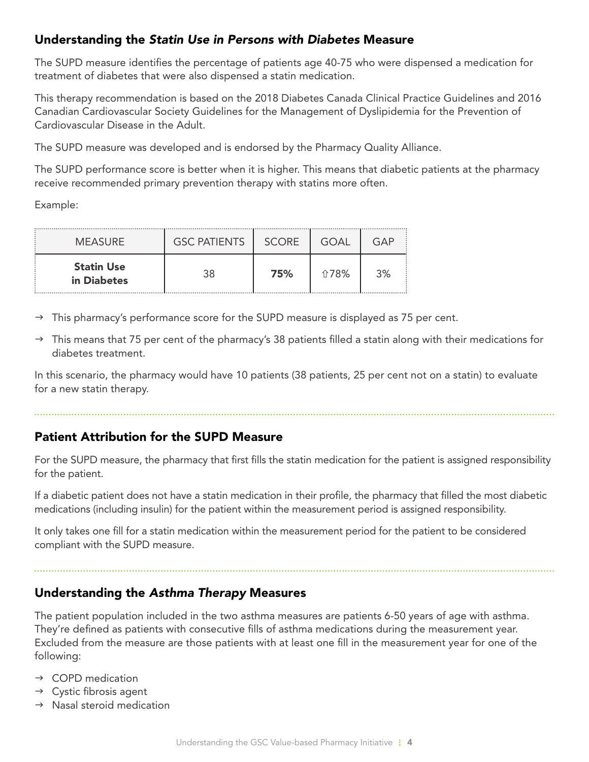#### Understanding the *Statin Use in Persons with Diabetes* Measure

The SUPD measure identifes the percentage of patients age 40-75 who were dispensed a medication for treatment of diabetes that were also dispensed a statin medication.

This therapy recommendation is based on the 2018 Diabetes Canada Clinical Practice Guidelines and 2016 Canadian Cardiovascular Society Guidelines for the Management of Dyslipidemia for the Prevention of Cardiovascular Disease in the Adult.

The SUPD measure was developed and is endorsed by the Pharmacy Quality Alliance.

The SUPD performance score is better when it is higher. This means that diabetic patients at the pharmacy receive recommended primary prevention therapy with statins more often.

Example:

| <b>MEASURE</b>                   | <b>GSC PATIENTS</b> | <b>SCORE</b> | GOAL | GAP |
|----------------------------------|---------------------|--------------|------|-----|
| <b>Statin Use</b><br>in Diabetes |                     | 75%          | 介78% | 3%  |

- This pharmacy's performance score for the SUPD measure is displayed as 75 per cent.
- $\rightarrow$  This means that 75 per cent of the pharmacy's 38 patients filled a statin along with their medications for diabetes treatment.

In this scenario, the pharmacy would have 10 patients (38 patients, 25 per cent not on a statin) to evaluate for a new statin therapy.

#### Patient Attribution for the SUPD Measure

For the SUPD measure, the pharmacy that first fills the statin medication for the patient is assigned responsibility for the patient.

If a diabetic patient does not have a statin medication in their profle, the pharmacy that flled the most diabetic medications (including insulin) for the patient within the measurement period is assigned responsibility.

It only takes one fll for a statin medication within the measurement period for the patient to be considered compliant with the SUPD measure.

#### Understanding the *Asthma Therapy* Measures

The patient population included in the two asthma measures are patients 6-50 years of age with asthma. They're defined as patients with consecutive fills of asthma medications during the measurement year. Excluded from the measure are those patients with at least one fll in the measurement year for one of the following:

- $\rightarrow$  COPD medication
- $\rightarrow$  Cystic fibrosis agent
- $\rightarrow$  Nasal steroid medication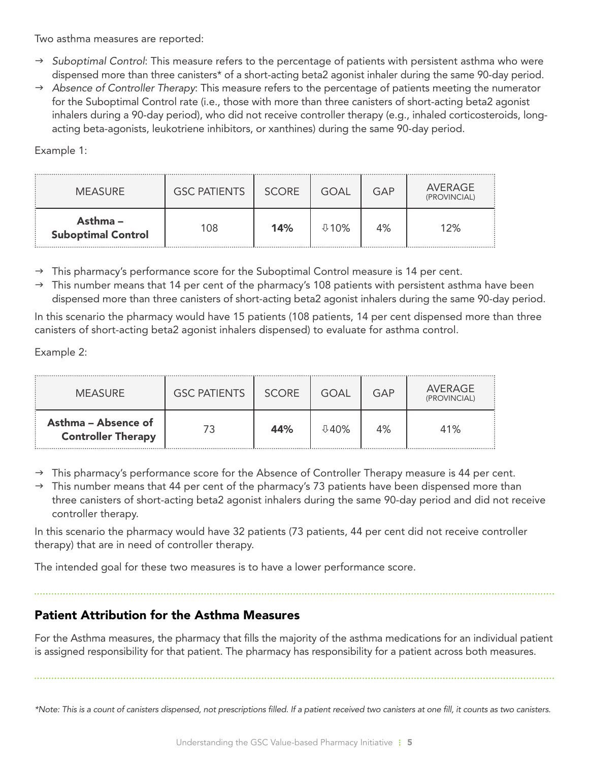Two asthma measures are reported:

- *Suboptimal Control*: This measure refers to the percentage of patients with persistent asthma who were dispensed more than three canisters\* of a short-acting beta2 agonist inhaler during the same 90-day period.
- *Absence of Controller Therapy*: This measure refers to the percentage of patients meeting the numerator for the Suboptimal Control rate (i.e., those with more than three canisters of short-acting beta2 agonist inhalers during a 90-day period), who did not receive controller therapy (e.g., inhaled corticosteroids, longacting beta-agonists, leukotriene inhibitors, or xanthines) during the same 90-day period.

Example 1:

| <b>MEASURE</b>                        | <b>GSC PATIENTS</b> | <b>SCORE</b> | GOAL | GAP | AVERAGE<br>(PROVINCIAL) |
|---------------------------------------|---------------------|--------------|------|-----|-------------------------|
| Asthma –<br><b>Suboptimal Control</b> | 108                 | 14%          | ⊕1Օ% | 4%  | 12%                     |

 $\rightarrow$  This pharmacy's performance score for the Suboptimal Control measure is 14 per cent.

 $\rightarrow$  This number means that 14 per cent of the pharmacy's 108 patients with persistent asthma have been dispensed more than three canisters of short-acting beta2 agonist inhalers during the same 90-day period.

In this scenario the pharmacy would have 15 patients (108 patients, 14 per cent dispensed more than three canisters of short-acting beta2 agonist inhalers dispensed) to evaluate for asthma control.

Example 2:

| <b>MEASURE</b>                                   | <b>GSC PATIENTS</b> | <b>SCORE</b> | GOAL     | GAP | AVERAGE<br>(PROVINCIAL) |
|--------------------------------------------------|---------------------|--------------|----------|-----|-------------------------|
| Asthma – Absence of<br><b>Controller Therapy</b> |                     | 44%          | $0.40\%$ | 4%  | 41%                     |

 $\rightarrow$  This pharmacy's performance score for the Absence of Controller Therapy measure is 44 per cent.

 $\rightarrow$  This number means that 44 per cent of the pharmacy's 73 patients have been dispensed more than three canisters of short-acting beta2 agonist inhalers during the same 90-day period and did not receive controller therapy.

In this scenario the pharmacy would have 32 patients (73 patients, 44 per cent did not receive controller therapy) that are in need of controller therapy.

The intended goal for these two measures is to have a lower performance score.

#### Patient Attribution for the Asthma Measures

For the Asthma measures, the pharmacy that flls the majority of the asthma medications for an individual patient is assigned responsibility for that patient. The pharmacy has responsibility for a patient across both measures.

*\*Note: This is a count of canisters dispensed, not prescriptions flled. If a patient received two canisters at one fll, it counts as two canisters.*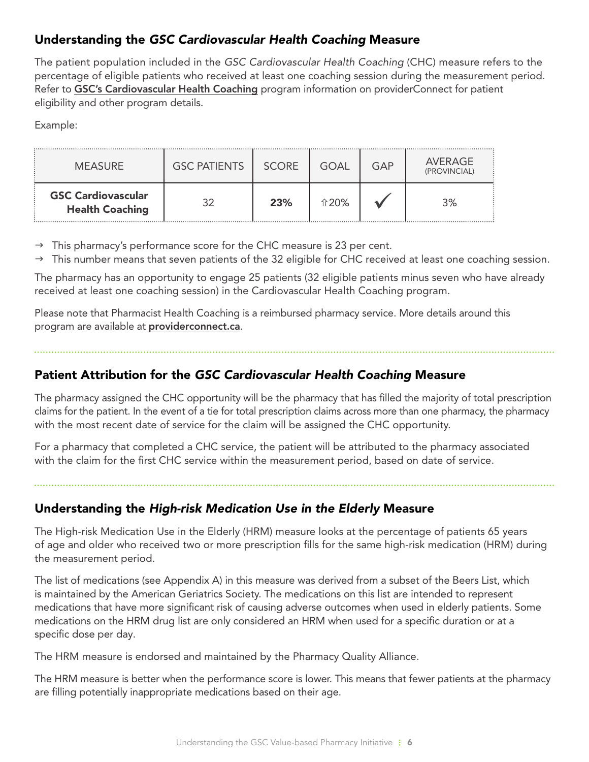#### Understanding the *GSC Cardiovascular Health Coaching* Measure

The patient population included in the *GSC Cardiovascular Health Coaching* (CHC) measure refers to the percentage of eligible patients who received at least one coaching session during the measurement period. Refer to GSC's Cardiovascular Health Coaching program information on providerConnect for patient eligibility and other program details.

Example:

| <b>MEASURE</b>                                      | <b>GSC PATIENTS</b> | <b>SCORE</b> | GOAL | GAP | AVERAGE<br>(PROVINCIAL) |
|-----------------------------------------------------|---------------------|--------------|------|-----|-------------------------|
| <b>GSC Cardiovascular</b><br><b>Health Coaching</b> | 20                  | 23%          | ↑20% |     | 3%                      |

- $\rightarrow$  This pharmacy's performance score for the CHC measure is 23 per cent.
- $\rightarrow$  This number means that seven patients of the 32 eligible for CHC received at least one coaching session.

The pharmacy has an opportunity to engage 25 patients (32 eligible patients minus seven who have already received at least one coaching session) in the Cardiovascular Health Coaching program.

Please note that Pharmacist Health Coaching is a reimbursed pharmacy service. More details around this program are available at **providerconnect.ca**.

#### Patient Attribution for the *GSC Cardiovascular Health Coaching* Measure

The pharmacy assigned the CHC opportunity will be the pharmacy that has flled the majority of total prescription claims for the patient. In the event of a tie for total prescription claims across more than one pharmacy, the pharmacy with the most recent date of service for the claim will be assigned the CHC opportunity.

For a pharmacy that completed a CHC service, the patient will be attributed to the pharmacy associated with the claim for the first CHC service within the measurement period, based on date of service.

#### Understanding the *High-risk Medication Use in the Elderly* Measure

The High-risk Medication Use in the Elderly (HRM) measure looks at the percentage of patients 65 years of age and older who received two or more prescription fills for the same high-risk medication (HRM) during the measurement period.

 specific dose per day. The list of medications (see Appendix A) in this measure was derived from a subset of the Beers List, which is maintained by the American Geriatrics Society. The medications on this list are intended to represent medications that have more significant risk of causing adverse outcomes when used in elderly patients. Some medications on the HRM drug list are only considered an HRM when used for a specific duration or at a

The HRM measure is endorsed and maintained by the Pharmacy Quality Alliance.

 The HRM measure is better when the performance score is lower. This means that fewer patients at the pharmacy are filling potentially inappropriate medications based on their age.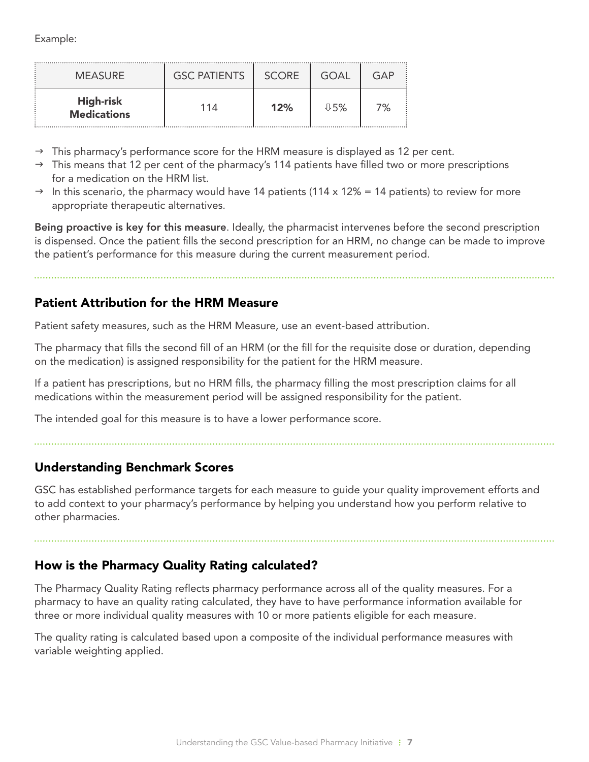Example:

| <b>MEASURE</b>                  | <b>GSC PATIENTS</b> | <b>SCORE</b> | GOAL    | GAP |
|---------------------------------|---------------------|--------------|---------|-----|
| High-risk<br><b>Medications</b> | 114                 | 12%          | $0.5\%$ | 7%  |

- $\rightarrow$  This pharmacy's performance score for the HRM measure is displayed as 12 per cent.
- $\rightarrow$  This means that 12 per cent of the pharmacy's 114 patients have filled two or more prescriptions for a medication on the HRM list.
- $\rightarrow$  In this scenario, the pharmacy would have 14 patients (114 x 12% = 14 patients) to review for more appropriate therapeutic alternatives.

Being proactive is key for this measure. Ideally, the pharmacist intervenes before the second prescription is dispensed. Once the patient flls the second prescription for an HRM, no change can be made to improve the patient's performance for this measure during the current measurement period.

Patient Attribution for the HRM Measure

Patient safety measures, such as the HRM Measure, use an event-based attribution.

The pharmacy that fills the second fill of an HRM (or the fill for the requisite dose or duration, depending on the medication) is assigned responsibility for the patient for the HRM measure.

If a patient has prescriptions, but no HRM flls, the pharmacy flling the most prescription claims for all medications within the measurement period will be assigned responsibility for the patient.

The intended goal for this measure is to have a lower performance score.

#### Understanding Benchmark Scores

GSC has established performance targets for each measure to guide your quality improvement efforts and to add context to your pharmacy's performance by helping you understand how you perform relative to other pharmacies.

#### How is the Pharmacy Quality Rating calculated?

The Pharmacy Quality Rating reflects pharmacy performance across all of the quality measures. For a pharmacy to have an quality rating calculated, they have to have performance information available for three or more individual quality measures with 10 or more patients eligible for each measure.

The quality rating is calculated based upon a composite of the individual performance measures with variable weighting applied.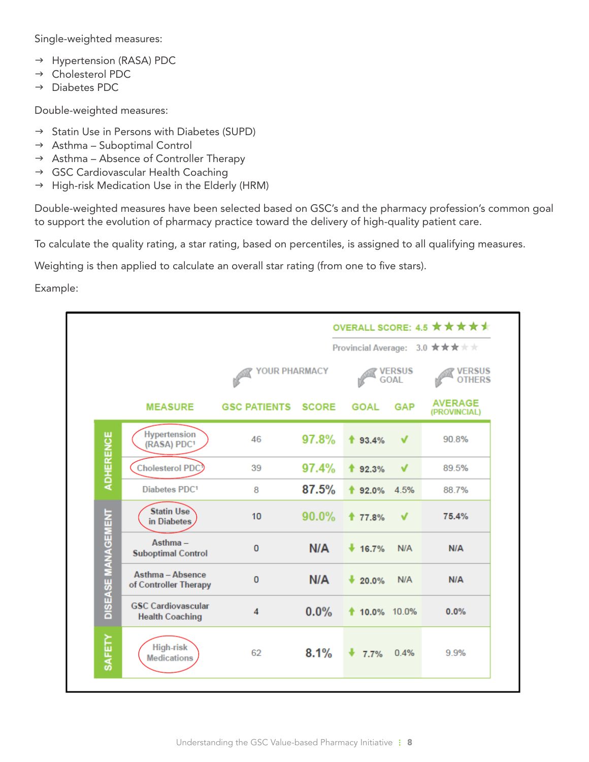Single-weighted measures:

- → Hypertension (RASA) PDC
- → Cholesterol PDC
- $\rightarrow$  Diabetes PDC.

Double-weighted measures:

- $\rightarrow$  Statin Use in Persons with Diabetes (SUPD)
- $\rightarrow$  Asthma Suboptimal Control
- $\rightarrow$  Asthma Absence of Controller Therapy
- → GSC Cardiovascular Health Coaching
- $\rightarrow$  High-risk Medication Use in the Elderly (HRM)

Double-weighted measures have been selected based on GSC's and the pharmacy profession's common goal to support the evolution of pharmacy practice toward the delivery of high-quality patient care.

To calculate the quality rating, a star rating, based on percentiles, is assigned to all qualifying measures.

Weighting is then applied to calculate an overall star rating (from one to five stars).

Example:

|                    |                                                     |                         |              |                    |                              | OVERALL SCORE: 4.5 $\star \star \star \star \star$ |
|--------------------|-----------------------------------------------------|-------------------------|--------------|--------------------|------------------------------|----------------------------------------------------|
|                    |                                                     |                         |              |                    |                              | Provincial Average: 3.0 ★★★ ★ ★                    |
|                    |                                                     | <b>YOUR PHARMACY</b>    |              |                    | <b>VERSUS</b><br><b>GOAL</b> | <b>VERSUS</b><br><b>OTHERS</b>                     |
|                    | <b>MEASURE</b>                                      | <b>GSC PATIENTS</b>     | <b>SCORE</b> | <b>GOAL</b>        | <b>GAP</b>                   | <b>AVERAGE</b><br>(PROVINCIAL)                     |
| <b>ADHERENCE</b>   | <b>Hypertension</b><br>(RASA) PDC <sup>1</sup>      | 46                      | 97.8%        | $*$ 93.4%          | V                            | 90.8%                                              |
|                    | Cholesterol PDC                                     | 39                      | 97.4%        | 192.3%             | V                            | 89.5%                                              |
|                    | Diabetes PDC1                                       | 8                       | 87.5%        | $*$ 92.0%          | 4.5%                         | 88.7%                                              |
|                    | <b>Statin Use</b><br>in Diabetes                    | 10                      | $90.0\%$     | ↑ 77.8%            | √                            | 75.4%                                              |
| DISEASE MANAGEMENT | $Asthma -$<br><b>Suboptimal Control</b>             | $\bf{0}$                | N/A          | 16.7%              | N/A                          | N/A                                                |
|                    | Asthma - Absence<br>of Controller Therapy           | $\bf{0}$                | N/A          | $\frac{1}{20.0\%}$ | N/A                          | N/A                                                |
|                    | <b>GSC Cardiovascular</b><br><b>Health Coaching</b> | $\overline{\mathbf{4}}$ | 0.0%         | <b>10.0%</b> 10.0% |                              | 0.0%                                               |
| SAFETY             | <b>High-risk</b><br><b>Medications</b>              | 62                      | 8.1%         | 7.7%               | 0.4%                         | 9.9%                                               |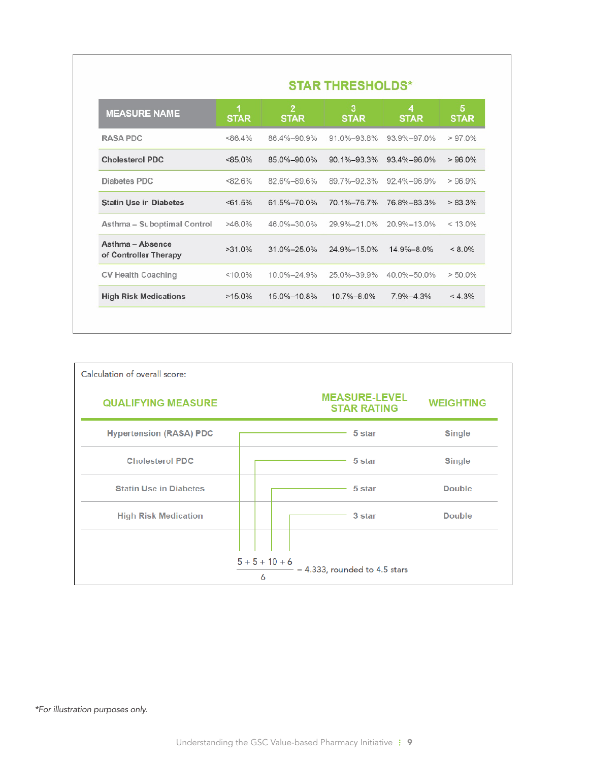| <b>STAR THRESHOLDS*</b>                   |                  |                               |                   |                   |                  |  |
|-------------------------------------------|------------------|-------------------------------|-------------------|-------------------|------------------|--|
| <b>MEASURE NAME</b>                       | 1<br><b>STAR</b> | $\overline{2}$<br><b>STAR</b> | з<br><b>STAR</b>  | 4<br><b>STAR</b>  | 5<br><b>STAR</b> |  |
| <b>RASA PDC</b>                           | <86.4%           | 86 4%-90 9%                   | 91 0%-93 8%       | 93 9%-97 0%       | $>97.0\%$        |  |
| Cholesterol PDC                           | $< 85.0\%$       | 85.0%-90.0%                   | $90.1\% - 93.3\%$ | $93.4\% - 96.0\%$ | $>96.0\%$        |  |
| Diabetes PDC                              | <82.6%           | 82.6%-89.6%                   | 89.7%-92.3%       | 92.4%-96.9%       | >96.9%           |  |
| <b>Statin Use in Diabetes</b>             | $<61.5\%$        | 61.5%-70.0%                   | 70.1%-76.7%       | 76.8%-83.3%       | $> 83.3\%$       |  |
| Asthma - Suboptimal Control               | $>46.0\%$        | 46.0%-30.0%                   | 29.9%-21.0%       | 20.9%-13.0%       | $< 13.0\%$       |  |
| Asthma - Absence<br>of Controller Therapy | $>31.0\%$        | 31.0%-25.0%                   | 24.9%-15.0%       | 14.9%-8.0%        | $< 8.0\%$        |  |
| <b>CV Health Coaching</b>                 | $< 10.0\%$       | 10.0%-24.9%                   | 25.0%-39.9%       | 40.0%-50.0%       | $> 50.0\%$       |  |
| <b>High Risk Medications</b>              | $>15.0\%$        | 15 0%-10 8%                   | 10 7% - 8 0%      | 7 9%-4 3%         | $< 4.3\%$        |  |



#### *\*For illustration purposes only.*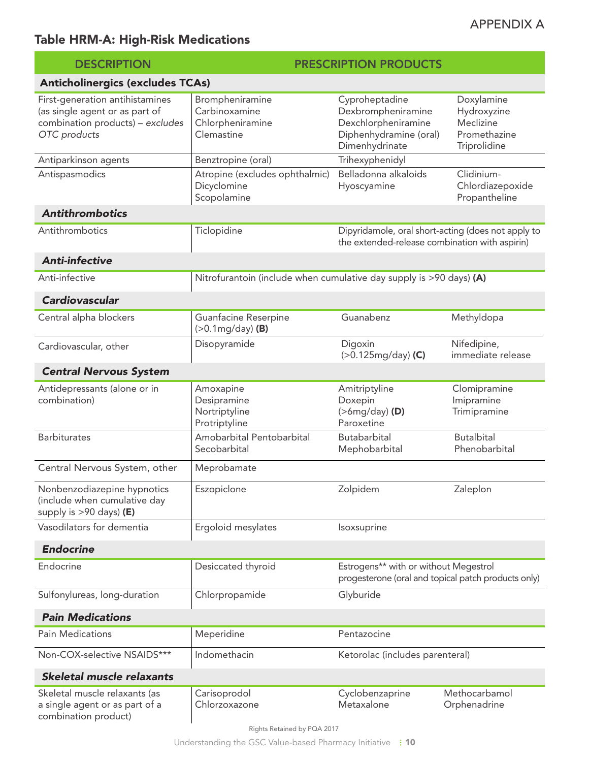### APPENDIX A

### Table HRM-A: High-Risk Medications

| <b>DESCRIPTION</b>                                                                                                    | <b>PRESCRIPTION PRODUCTS</b>                                        |                                                                                                         |                                                                        |  |  |
|-----------------------------------------------------------------------------------------------------------------------|---------------------------------------------------------------------|---------------------------------------------------------------------------------------------------------|------------------------------------------------------------------------|--|--|
| <b>Anticholinergics (excludes TCAs)</b>                                                                               |                                                                     |                                                                                                         |                                                                        |  |  |
| First-generation antihistamines<br>(as single agent or as part of<br>combination products) - excludes<br>OTC products | Brompheniramine<br>Carbinoxamine<br>Chlorpheniramine<br>Clemastine  | Cyproheptadine<br>Dexbrompheniramine<br>Dexchlorpheniramine<br>Diphenhydramine (oral)<br>Dimenhydrinate | Doxylamine<br>Hydroxyzine<br>Meclizine<br>Promethazine<br>Triprolidine |  |  |
| Antiparkinson agents                                                                                                  | Benztropine (oral)                                                  | Trihexyphenidyl                                                                                         |                                                                        |  |  |
| Antispasmodics                                                                                                        | Atropine (excludes ophthalmic)<br>Dicyclomine<br>Scopolamine        | Belladonna alkaloids<br>Hyoscyamine                                                                     | Clidinium-<br>Chlordiazepoxide<br>Propantheline                        |  |  |
| <b>Antithrombotics</b>                                                                                                |                                                                     |                                                                                                         |                                                                        |  |  |
| Antithrombotics                                                                                                       | Ticlopidine                                                         | Dipyridamole, oral short-acting (does not apply to<br>the extended-release combination with aspirin)    |                                                                        |  |  |
| <b>Anti-infective</b>                                                                                                 |                                                                     |                                                                                                         |                                                                        |  |  |
| Anti-infective                                                                                                        | Nitrofurantoin (include when cumulative day supply is >90 days) (A) |                                                                                                         |                                                                        |  |  |
| Cardiovascular                                                                                                        |                                                                     |                                                                                                         |                                                                        |  |  |
| Central alpha blockers                                                                                                | Guanfacine Reserpine<br>$(>0.1$ mg/day) (B)                         | Guanabenz                                                                                               | Methyldopa                                                             |  |  |
| Cardiovascular, other                                                                                                 | Disopyramide                                                        | Digoxin<br>$(>0.125mg/day)$ (C)                                                                         | Nifedipine,<br>immediate release                                       |  |  |
| <b>Central Nervous System</b>                                                                                         |                                                                     |                                                                                                         |                                                                        |  |  |
| Antidepressants (alone or in<br>combination)                                                                          | Amoxapine<br>Desipramine<br>Nortriptyline<br>Protriptyline          | Amitriptyline<br>Doxepin<br>$(>\text{img/day})$ (D)<br>Paroxetine                                       | Clomipramine<br>Imipramine<br>Trimipramine                             |  |  |
| <b>Barbiturates</b>                                                                                                   | Amobarbital Pentobarbital<br>Secobarbital                           | Butabarbital<br>Mephobarbital                                                                           | <b>Butalbital</b><br>Phenobarbital                                     |  |  |
| Central Nervous System, other                                                                                         | Meprobamate                                                         |                                                                                                         |                                                                        |  |  |
| Nonbenzodiazepine hypnotics<br>(include when cumulative day<br>supply is $>90$ days) (E)                              | Eszopiclone                                                         | Zolpidem                                                                                                | Zaleplon                                                               |  |  |
| Vasodilators for dementia                                                                                             | Ergoloid mesylates                                                  | Isoxsuprine                                                                                             |                                                                        |  |  |
| <b>Endocrine</b>                                                                                                      |                                                                     |                                                                                                         |                                                                        |  |  |
| Endocrine                                                                                                             | Desiccated thyroid                                                  | Estrogens** with or without Megestrol<br>progesterone (oral and topical patch products only)            |                                                                        |  |  |
| Sulfonylureas, long-duration                                                                                          | Chlorpropamide                                                      | Glyburide                                                                                               |                                                                        |  |  |
| <b>Pain Medications</b>                                                                                               |                                                                     |                                                                                                         |                                                                        |  |  |
| Pain Medications                                                                                                      | Meperidine                                                          | Pentazocine                                                                                             |                                                                        |  |  |
| Non-COX-selective NSAIDS***                                                                                           | Indomethacin                                                        | Ketorolac (includes parenteral)                                                                         |                                                                        |  |  |
| <b>Skeletal muscle relaxants</b>                                                                                      |                                                                     |                                                                                                         |                                                                        |  |  |
| Skeletal muscle relaxants (as<br>a single agent or as part of a<br>combination product)                               | Carisoprodol<br>Chlorzoxazone                                       | Cyclobenzaprine<br>Metaxalone                                                                           | Methocarbamol<br>Orphenadrine                                          |  |  |

Rights Retained by PQA 2017